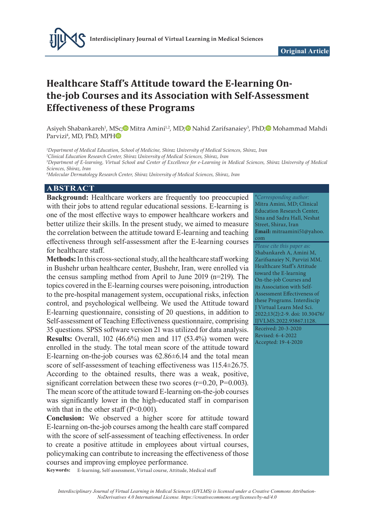

# **Healthcare Staff's Attitude toward the E-learning Onthe-job Courses and its Association with Self-Assessment Effectiveness of these Programs**

Asiyeh Shabankareh<sup>1</sup>, MSc;© Mitra Amini<sup>1,2</sup>, MD;© Nahid Zarifsanaiey<sup>3</sup>, PhD;© Mohammad Mahdi Parvizi4 , MD, PhD, MP[H](https://orcid.org/0000-0003-1856-945X)

*1 Department of Medical Education, School of Medicine, Shiraz University of Medical Sciences, Shiraz, Iran*

*2 Clinical Education Research Center, Shiraz University of Medical Sciences, Shiraz, Iran*

*3 Department of E-learning, Virtual School and Center of Excellence for e-Learning in Medical Sciences, Shiraz University of Medical Sciences, Shiraz, Iran*

*4 Molecular Dermatology Research Center, Shiraz University of Medical Sciences, Shiraz, Iran*

#### **ABSTRACT**

**Background:** Healthcare workers are frequently too preoccupied with their jobs to attend regular educational sessions. E-learning is one of the most effective ways to empower healthcare workers and better utilize their skills. In the present study, we aimed to measure the correlation between the attitude toward E-learning and teaching effectiveness through self-assessment after the E-learning courses for healthcare staff.

**Methods:** In this cross-sectional study, all the healthcare staff working in Bushehr urban healthcare center, Bushehr, Iran, were enrolled via the census sampling method from April to June 2019 (n=219). The topics covered in the E-learning courses were poisoning, introduction to the pre-hospital management system, occupational risks, infection control, and psychological wellbeing. We used the Attitude toward E-learning questionnaire, consisting of 20 questions, in addition to Self-assessment of Teaching Effectiveness questionnaire, comprising 35 questions. SPSS software version 21 was utilized for data analysis. **Results:** Overall, 102 (46.6%) men and 117 (53.4%) women were enrolled in the study. The total mean score of the attitude toward E-learning on-the-job courses was  $62.86\pm6.14$  and the total mean score of self-assessment of teaching effectiveness was 115.4±26.75. According to the obtained results, there was a weak, positive, significant correlation between these two scores  $(r=0.20, P=0.003)$ . The mean score of the attitude toward E-learning on-the-job courses was significantly lower in the high-educated staff in comparison with that in the other staff  $(P<0.001)$ .

**Conclusion:** We observed a higher score for attitude toward E-learning on-the-job courses among the health care staff compared with the score of self-assessment of teaching effectiveness. In order to create a positive attitude in employees about virtual courses, policymaking can contribute to increasing the effectiveness of those courses and improving employee performance.

**Keywords:** E-learning, Self-assessment, Virtual course, Attitude, Medical staff

\**Corresponding author:* Mitra Amini, MD; Clinical Education Research Center, Sina and Sadra Hall, Neshat Street, Shiraz, Iran **Email:** mitraamini51@yahoo. com

*Please cite this paper as:* Shabankareh A, Amini M, Zarifsanaiey N, Parvizi MM. Healthcare Staff's Attitude toward the E-learning On-the-job Courses and its Association with Self-Assessment Effectiveness of these Programs. Interdiscip J Virtual Learn Med Sci. 2022;13(2):2-9. doi: 10.30476/ IJVLMS.2022.93867.1128. Received: 20-3-2020 Revised: 6-4-2022 Accepted: 19-4-2020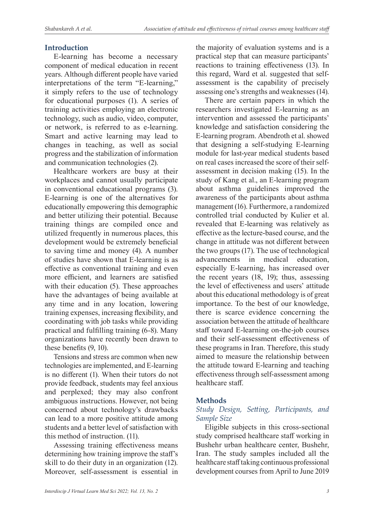### **Introduction**

E-learning has become a necessary component of medical education in recent years. Although different people have varied interpretations of the term "E-learning," it simply refers to the use of technology for educational purposes (1). A series of training activities employing an electronic technology, such as audio, video, computer, or network, is referred to as e-learning. Smart and active learning may lead to changes in teaching, as well as social progress and the stabilization of information and communication technologies (2).

Healthcare workers are busy at their workplaces and cannot usually participate in conventional educational programs (3). E-learning is one of the alternatives for educationally empowering this demographic and better utilizing their potential. Because training things are compiled once and utilized frequently in numerous places, this development would be extremely beneficial to saving time and money (4). A number of studies have shown that E-learning is as effective as conventional training and even more efficient, and learners are satisfied with their education (5). These approaches have the advantages of being available at any time and in any location, lowering training expenses, increasing flexibility, and coordinating with job tasks while providing practical and fulfilling training (6-8). Many organizations have recently been drawn to these benefits (9, 10).

Tensions and stress are common when new technologies are implemented, and E-learning is no different (1). When their tutors do not provide feedback, students may feel anxious and perplexed; they may also confront ambiguous instructions. However, not being concerned about technology's drawbacks can lead to a more positive attitude among students and a better level of satisfaction with this method of instruction. (11).

Assessing training effectiveness means determining how training improve the staff's skill to do their duty in an organization (12). Moreover, self-assessment is essential in the majority of evaluation systems and is a practical step that can measure participants' reactions to training effectiveness (13). In this regard, Ward et al. suggested that selfassessment is the capability of precisely assessing one's strengths and weaknesses (14).

There are certain papers in which the researchers investigated E-learning as an intervention and assessed the participants' knowledge and satisfaction considering the E-learning program. Abendroth et al. showed that designing a self-studying E-learning module for last-year medical students based on real cases increased the score of their selfassessment in decision making (15). In the study of Kang et al., an E-learning program about asthma guidelines improved the awareness of the participants about asthma management (16). Furthermore, a randomized controlled trial conducted by Kulier et al. revealed that E-learning was relatively as effective as the lecture-based course, and the change in attitude was not different between the two groups (17). The use of technological advancements in medical education, especially E-learning, has increased over the recent years (18, 19); thus, assessing the level of effectiveness and users' attitude about this educational methodology is of great importance. To the best of our knowledge, there is scarce evidence concerning the association between the attitude of healthcare staff toward E-learning on-the-job courses and their self-assessment effectiveness of these programs in Iran. Therefore, this study aimed to measure the relationship between the attitude toward E-learning and teaching effectiveness through self-assessment among healthcare staff.

#### **Methods**

### *Study Design, Setting, Participants, and Sample Size*

Eligible subjects in this cross-sectional study comprised healthcare staff working in Bushehr urban healthcare center, Bushehr, Iran. The study samples included all the healthcare staff taking continuous professional development courses from April to June 2019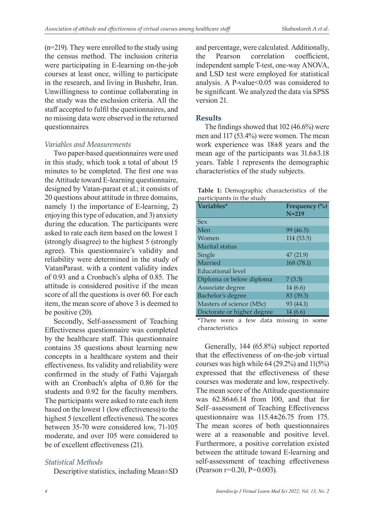(n=219). They were enrolled to the study using the census method. The inclusion criteria were participating in E-learning on-the-job courses at least once, willing to participate in the research, and living in Bushehr, Iran. Unwillingness to continue collaborating in the study was the exclusion criteria. All the staff accepted to fulfil the questionnaires, and no missing data were observed in the returned questionnaires

### *Variables and Measurements*

Two paper-based questionnaires were used in this study, which took a total of about 15 minutes to be completed. The first one was the Attitude toward E-learning questionnaire, designed by Vatan-parast et al.; it consists of 20 questions about attitude in three domains, namely 1) the importance of E-learning, 2) enjoying this type of education, and 3) anxiety during the education. The participants were asked to rate each item based on the lowest 1 (strongly disagree) to the highest 5 (strongly agree). This questionnaire's validity and reliability were determined in the study of VatanParast. with a content validity index of 0.93 and a Cronbach's alpha of 0.85. The attitude is considered positive if the mean score of all the questions is over 60. For each item, the mean score of above 3 is deemed to be positive (20).

Secondly, Self-assessment of Teaching Effectiveness questionnaire was completed by the healthcare staff. This questionnaire contains 35 questions about learning new concepts in a healthcare system and their effectiveness. Its validity and reliability were confirmed in the study of Fathi Vajargah with an Cronbach's alpha of 0.86 for the students and 0.92 for the faculty members. The participants were asked to rate each item based on the lowest 1 (low effectiveness) to the highest 5 (excellent effectiveness). The scores between 35-70 were considered low, 71-105 moderate, and over 105 were considered to be of excellent effectiveness (21).

## *Statistical Methods*

Descriptive statistics, including Mean±SD

and percentage, were calculated. Additionally, the Pearson correlation coefficient, independent sample T-test, one-way ANOVA, and LSD test were employed for statistical analysis. A P-value<0.05 was considered to be significant. We analyzed the data via SPSS version 21.

## **Results**

The findings showed that 102 (46.6%) were men and 117 (53.4%) were women. The mean work experience was 18**±**8 years and the mean age of the participants was 31.6**±**3.18 years. Table 1 represents the demographic characteristics of the study subjects.

|  |                           | Table 1: Demographic characteristics of the |  |
|--|---------------------------|---------------------------------------------|--|
|  | participants in the study |                                             |  |

| Variables*                 | Frequency (%) |
|----------------------------|---------------|
|                            | $N=219$       |
| <b>Sex</b>                 |               |
| Men                        | 99(46.5)      |
| Women                      | 114 (53.5)    |
| Marital status             |               |
| Single                     | 47(21.9)      |
| Married                    | 168 (78.1)    |
| Educational level          |               |
| Diploma or below diploma   | 7(3.3)        |
| Associate degree           | 14 (6.6)      |
| Bachelor's degree          | 83 (39.3)     |
| Masters of science (MSc)   | 93 (44.1)     |
| Doctorate or higher degree | 14 (6.6)      |

\*There were a few data missing in some characteristics

Generally, 144 (65.8%) subject reported that the effectiveness of on-the-job virtual courses was high while 64 (29.2%) and 11(5%) expressed that the effectiveness of these courses was moderate and low, respectively. The mean score of the Attitude questionnaire was 62.86**±**6.14 from 100, and that for Self–assessment of Teaching Effectiveness questionnaire was 115.4**±**26.75 from 175. The mean scores of both questionnaires were at a reasonable and positive level. Furthermore, a positive correlation existed between the attitude toward E-learning and self-assessment of teaching effectiveness (Pearson r=0.20, P=0.003).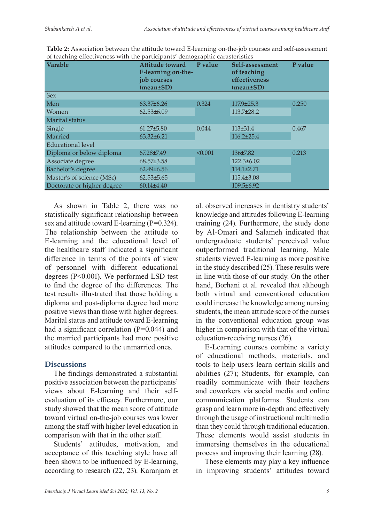| $\epsilon$<br><b>Varable</b> | <b>Attitude toward</b><br>E-learning on-the-<br>job courses<br>$(mean \pm SD)$ | P value | Self-assessment<br>of teaching<br>effectiveness<br>$(mean \pm SD)$ | P value |
|------------------------------|--------------------------------------------------------------------------------|---------|--------------------------------------------------------------------|---------|
| <b>Sex</b>                   |                                                                                |         |                                                                    |         |
| Men                          | $63.37\pm 6.26$                                                                | 0.324   | $117.9 \pm 25.3$                                                   | 0.250   |
| Women                        | $62.53\pm 6.09$                                                                |         | $113.7\pm 28.2$                                                    |         |
| Marital status               |                                                                                |         |                                                                    |         |
| Single                       | $61.27 \pm 5.80$                                                               | 0.044   | $113\pm31.4$                                                       | 0.467   |
| Married                      | $63.32 \pm 6.21$                                                               |         | $116.2 \pm 25.4$                                                   |         |
| <b>Educational level</b>     |                                                                                |         |                                                                    |         |
| Diploma or below diploma     | $67.28 \pm 7.49$                                                               | < 0.001 | $136 \pm 7.82$                                                     | 0.213   |
| Associate degree             | $68.57 \pm 3.58$                                                               |         | $122.3 \pm 6.02$                                                   |         |
| Bachelor's degree            | $62.49\pm 6.56$                                                                |         | $114.1 \pm 2.71$                                                   |         |
| Master's of science (MSc)    | $62.53\pm5.65$                                                                 |         | $115.4 \pm 3.08$                                                   |         |
| Doctorate or higher degree   | $60.14 \pm 4.40$                                                               |         | 109.5±6.92                                                         |         |

**Table 2:** Association between the attitude toward E-learning on-the-job courses and self-assessment of teaching effectiveness with the participants' demographic carasteristics

As shown in Table 2, there was no statistically significant relationship between sex and attitude toward E-learning  $(P=0.324)$ . The relationship between the attitude to E-learning and the educational level of the healthcare staff indicated a significant difference in terms of the points of view of personnel with different educational degrees (P<0.001). We performed LSD test to find the degree of the differences. The test results illustrated that those holding a diploma and post-diploma degree had more positive views than those with higher degrees. Marital status and attitude toward E-learning had a significant correlation (P=0.044) and the married participants had more positive attitudes compared to the unmarried ones.

## **Discussions**

The findings demonstrated a substantial positive association between the participants' views about E-learning and their selfevaluation of its efficacy. Furthermore, our study showed that the mean score of attitude toward virtual on-the-job courses was lower among the staff with higher-level education in comparison with that in the other staff.

Students' attitudes, motivation, and acceptance of this teaching style have all been shown to be influenced by E-learning, according to research (22, 23). Karanjam et al. observed increases in dentistry students' knowledge and attitudes following E-learning training (24). Furthermore, the study done by Al-Omari and Salameh indicated that undergraduate students' perceived value outperformed traditional learning. Male students viewed E-learning as more positive in the study described (25). These results were in line with those of our study. On the other hand, Borhani et al. revealed that although both virtual and conventional education could increase the knowledge among nursing students, the mean attitude score of the nurses in the conventional education group was higher in comparison with that of the virtual education-receiving nurses (26).

E-Learning courses combine a variety of educational methods, materials, and tools to help users learn certain skills and abilities (27); Students, for example, can readily communicate with their teachers and coworkers via social media and online communication platforms. Students can grasp and learn more in-depth and effectively through the usage of instructional multimedia than they could through traditional education. These elements would assist students in immersing themselves in the educational process and improving their learning (28).

These elements may play a key influence in improving students' attitudes toward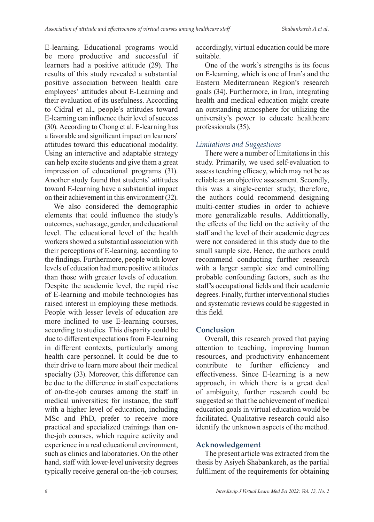E-learning. Educational programs would be more productive and successful if learners had a positive attitude (29). The results of this study revealed a substantial positive association between health care employees' attitudes about E-Learning and their evaluation of its usefulness. According to Cidral et al., people's attitudes toward E-learning can influence their level of success (30). According to Chong et al. E-learning has a favorable and significant impact on learners' attitudes toward this educational modality. Using an interactive and adaptable strategy can help excite students and give them a great impression of educational programs (31). Another study found that students' attitudes toward E-learning have a substantial impact on their achievement in this environment (32).

We also considered the demographic elements that could influence the study's outcomes, such as age, gender, and educational level. The educational level of the health workers showed a substantial association with their perceptions of E-learning, according to the findings. Furthermore, people with lower levels of education had more positive attitudes than those with greater levels of education. Despite the academic level, the rapid rise of E-learning and mobile technologies has raised interest in employing these methods. People with lesser levels of education are more inclined to use E-learning courses, according to studies. This disparity could be due to different expectations from E-learning in different contexts, particularly among health care personnel. It could be due to their drive to learn more about their medical specialty (33). Moreover, this difference can be due to the difference in staff expectations of on-the-job courses among the staff in medical universities; for instance, the staff with a higher level of education, including MSc and PhD, prefer to receive more practical and specialized trainings than onthe-job courses, which require activity and experience in a real educational environment, such as clinics and laboratories. On the other hand, staff with lower-level university degrees typically receive general on-the-job courses;

accordingly, virtual education could be more suitable.

One of the work's strengths is its focus on E-learning, which is one of Iran's and the Eastern Mediterranean Region's research goals (34). Furthermore, in Iran, integrating health and medical education might create an outstanding atmosphere for utilizing the university's power to educate healthcare professionals (35).

### *Limitations and Suggestions*

There were a number of limitations in this study. Primarily, we used self-evaluation to assess teaching efficacy, which may not be as reliable as an objective assessment. Secondly, this was a single-center study; therefore, the authors could recommend designing multi-center studies in order to achieve more generalizable results. Addittionally, the effects of the field on the activity of the staff and the level of their academic degrees were not considered in this study due to the small sample size. Hence, the authors could recommend conducting further research with a larger sample size and controlling probable confounding factors, such as the staff's occupational fields and their academic degrees. Finally, further interventional studies and systematic reviews could be suggested in this field.

## **Conclusion**

Overall, this research proved that paying attention to teaching, improving human resources, and productivity enhancement contribute to further efficiency and effectiveness. Since E-learning is a new approach, in which there is a great deal of ambiguity, further research could be suggested so that the achievement of medical education goals in virtual education would be facilitated. Qualitative research could also identify the unknown aspects of the method.

## **Acknowledgement**

The present article was extracted from the thesis by Asiyeh Shabankareh, as the partial fulfilment of the requirements for obtaining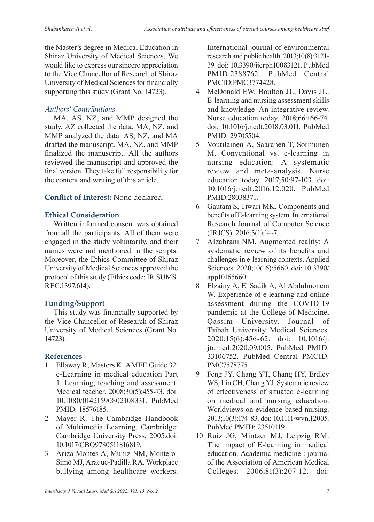the Master's degree in Medical Education in Shiraz University of Medical Sciences. We would like to express our sincere appreciation to the Vice Chancellor of Research of Shiraz University of Medical Sciences for financially supporting this study (Grant No. 14723).

## *Authors' Contributions*

MA, AS, NZ, and MMP designed the study. AZ collected the data. MA, NZ, and MMP analyzed the data. AS, NZ, and MA drafted the manuscript. MA, NZ, and MMP finalized the manuscript. All the authors reviewed the manuscript and approved the final version. They take full responsibility for the content and writing of this article.

## **Conflict of Interest:** None declared.

## **Ethical Consideration**

Written informed consent was obtained from all the participants. All of them were engaged in the study voluntarily, and their names were not mentioned in the scripts. Moreover, the Ethics Committee of Shiraz University of Medical Sciences approved the protocol of this study (Ethics code: IR.SUMS. REC.1397.614).

## **Funding/Support**

This study was financially supported by the Vice Chancellor of Research of Shiraz University of Medical Sciences (Grant No. 14723).

## **References**

- 1 Ellaway R, Masters K. AMEE Guide 32: e-Learning in medical education Part 1: Learning, teaching and assessment. Medical teacher. 2008;30(5):455-73. doi: 10.1080/01421590802108331. PubMed PMID: 18576185.
- 2 Mayer R. The Cambridge Handbook of Multimedia Learning. Cambridge: Cambridge University Press; 2005.doi: 10.1017/CBO9780511816819.
- 3 Ariza-Montes A, Muniz NM, Montero-Simó MJ, Araque-Padilla RA. Workplace bullying among healthcare workers.

International journal of environmental research and public health. 2013;10(8):3121- 39. doi: 10.3390/ijerph10083121. PubMed PMID:2388762. PubMed Central PMCID:PMC3774428.

- 4 McDonald EW, Boulton JL, Davis JL. E-learning and nursing assessment skills and knowledge–An integrative review. Nurse education today. 2018;66:166-74. doi: 10.1016/j.nedt.2018.03.011. PubMed PMID: 29705504.
- 5 Voutilainen A, Saaranen T, Sormunen M. Conventional vs. e-learning in nursing education: A systematic review and meta-analysis. Nurse education today. 2017;50:97-103. doi: 10.1016/j.nedt.2016.12.020. PubMed PMID:28038371.
- 6 Gautam S, Tiwari MK. Components and benefits of E-learning system. International Research Journal of Computer Science (IRJCS). 2016;3(1):14-7.
- 7 Alzahrani NM. Augmented reality: A systematic review of its benefits and challenges in e-learning contexts. Applied Sciences. 2020;10(16):5660. doi: 10.3390/ app10165660.
- 8 Elzainy A, El Sadik A, Al Abdulmonem W. Experience of e-learning and online assessment during the COVID-19 pandemic at the College of Medicine, Qassim University. Journal of Taibah University Medical Sciences. 2020;15(6):456-62. doi: 10.1016/j. jtumed.2020.09.005. PubMed PMID: 33106752. PubMed Central PMCID: PMC7578775.
- 9 Feng JY, Chang YT, Chang HY, Erdley WS, Lin CH, Chang YJ. Systematic review of effectiveness of situated e-learning on medical and nursing education. Worldviews on evidence-based nursing. 2013;10(3):174-83. doi: 10.1111/wvn.12005. PubMed PMID: 23510119.
- 10 Ruiz JG, Mintzer MJ, Leipzig RM. The impact of E-learning in medical education. Academic medicine : journal of the Association of American Medical Colleges. 2006;81(3):207-12. doi: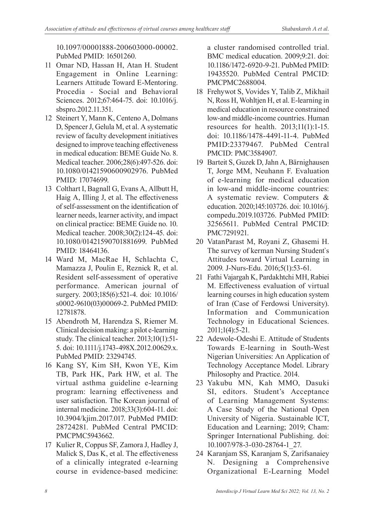10.1097/00001888-200603000-00002. PubMed PMID: 16501260.

- 11 Omar ND, Hassan H, Atan H. Student Engagement in Online Learning: Learners Attitude Toward E-Mentoring. Procedia - Social and Behavioral Sciences. 2012;67:464-75. doi: 10.1016/j. sbspro.2012.11.351.
- 12 Steinert Y, Mann K, Centeno A, Dolmans D, Spencer J, Gelula M, et al. A systematic review of faculty development initiatives designed to improve teaching effectiveness in medical education: BEME Guide No. 8. Medical teacher. 2006;28(6):497-526. doi: 10.1080/01421590600902976. PubMed PMID: 17074699.
- 13 Colthart I, Bagnall G, Evans A, Allbutt H, Haig A, Illing J, et al. The effectiveness of self-assessment on the identification of learner needs, learner activity, and impact on clinical practice: BEME Guide no. 10. Medical teacher. 2008;30(2):124-45. doi: 10.1080/01421590701881699. PubMed PMID: 18464136.
- 14 Ward M, MacRae H, Schlachta C, Mamazza J, Poulin E, Reznick R, et al. Resident self-assessment of operative performance. American journal of surgery. 2003;185(6):521-4. doi: 10.1016/ s0002-9610(03)00069-2. PubMed PMID: 12781878.
- 15 Abendroth M, Harendza S, Riemer M. Clinical decision making: a pilot e-learning study. The clinical teacher. 2013;10(1):51- 5. doi: 10.1111/j.1743-498X.2012.00629.x. PubMed PMID: 23294745.
- 16 Kang SY, Kim SH, Kwon YE, Kim TB, Park HK, Park HW, et al. The virtual asthma guideline e-learning program: learning effectiveness and user satisfaction. The Korean journal of internal medicine. 2018;33(3):604-11. doi: 10.3904/kjim.2017.017. PubMed PMID: 28724281. PubMed Central PMCID: PMCPMC5943662.
- 17 Kulier R, Coppus SF, Zamora J, Hadley J, Malick S, Das K, et al. The effectiveness of a clinically integrated e-learning course in evidence-based medicine:

a cluster randomised controlled trial. BMC medical education. 2009;9:21. doi: 10.1186/1472-6920-9-21. PubMed PMID: 19435520. PubMed Central PMCID: PMCPMC2688004.

- 18 Frehywot S, Vovides Y, Talib Z, Mikhail N, Ross H, Wohltjen H, et al. E-learning in medical education in resource constrained low-and middle-income countries. Human resources for health. 2013;11(1):1-15. doi: 10.1186/1478-4491-11-4. PubMed PMID:23379467. PubMed Central PMCID: PMC3584907.
- 19 Barteit S, Guzek D, Jahn A, Bärnighausen T, Jorge MM, Neuhann F. Evaluation of e-learning for medical education in low-and middle-income countries: A systematic review. Computers & education. 2020;145:103726. doi: 10.1016/j. compedu.2019.103726. PubMed PMID: 32565611. PubMed Central PMCID: PMC7291921.
- 20 VatanParast M, Royani Z, Ghasemi H. The survey of kerman Nursing Student`s Attitudes toward Virtual Learning in 2009. J-Nurs-Edu. 2016;5(1):53-61.
- 21 Fathi Vajargah K, Pardakhtchi MH, Rabiei M. Effectiveness evaluation of virtual learning courses in high education system of Iran (Case of Ferdowsi University). Information and Communication Technology in Educational Sciences. 2011;1(4):5-21.
- 22 Adewole-Odeshi E. Attitude of Students Towards E-learning in South-West Nigerian Universities: An Application of Technology Acceptance Model. Library Philosophy and Practice. 2014.
- 23 Yakubu MN, Kah MMO, Dasuki SI, editors. Student's Acceptance of Learning Management Systems: A Case Study of the National Open University of Nigeria. Sustainable ICT, Education and Learning; 2019; Cham: Springer International Publishing. doi: 10.1007/978-3-030-28764-1\_27.
- 24 Karanjam SS, Karanjam S, Zarifsanaiey N. Designing a Comprehensive Organizational E-Learning Model